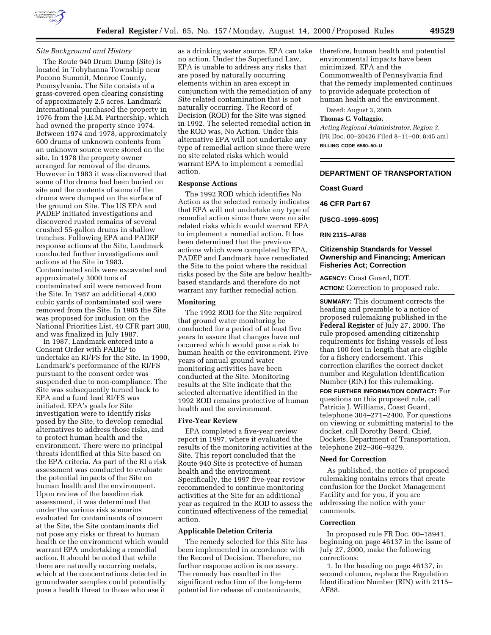

## *Site Background and History*

The Route 940 Drum Dump (Site) is located in Tobyhanna Township near Pocono Summit, Monroe County, Pennsylvania. The Site consists of a grass-covered open clearing consisting of approximately 2.5 acres. Landmark International purchased the property in 1976 from the J.E.M. Partnership, which had owned the property since 1974. Between 1974 and 1978, approximately 600 drums of unknown contents from an unknown source were stored on the site. In 1978 the property owner arranged for removal of the drums. However in 1983 it was discovered that some of the drums had been buried on site and the contents of some of the drums were dumped on the surface of the ground on Site. The US EPA and PADEP initiated investigations and discovered rusted remains of several crushed 55-gallon drums in shallow trenches. Following EPA and PADEP response actions at the Site, Landmark conducted further investigations and actions at the Site in 1983. Contaminated soils were excavated and approximately 3000 tons of contaminated soil were removed from the Site. In 1987 an additional 4,000 cubic yards of contaminated soil were removed from the Site. In 1985 the Site was proposed for inclusion on the National Priorities List, 40 CFR part 300, and was finalized in July 1987.

In 1987, Landmark entered into a Consent Order with PADEP to undertake an RI/FS for the Site. In 1990, Landmark's performance of the RI/FS pursuant to the consent order was suspended due to non-compliance. The Site was subsequently turned back to EPA and a fund lead RI/FS was initiated. EPA's goals for Site investigation were to identify risks posed by the Site, to develop remedial alternatives to address those risks, and to protect human health and the environment. There were no principal threats identified at this Site based on the EPA criteria. As part of the RI a risk assessment was conducted to evaluate the potential impacts of the Site on human health and the environment. Upon review of the baseline risk assessment, it was determined that under the various risk scenarios evaluated for contaminants of concern at the Site, the Site contaminants did not pose any risks or threat to human health or the environment which would warrant EPA undertaking a remedial action. It should be noted that while there are naturally occurring metals, which at the concentrations detected in groundwater samples could potentially pose a health threat to those who use it

as a drinking water source, EPA can take no action. Under the Superfund Law, EPA is unable to address any risks that are posed by naturally occurring elements within an area except in conjunction with the remediation of any Site related contamination that is not naturally occurring. The Record of Decision (ROD) for the Site was signed in 1992. The selected remedial action in the ROD was, No Action. Under this alternative EPA will not undertake any type of remedial action since there were no site related risks which would warrant EPA to implement a remedial action.

# **Response Actions**

The 1992 ROD which identifies No Action as the selected remedy indicates that EPA will not undertake any type of remedial action since there were no site related risks which would warrant EPA to implement a remedial action. It has been determined that the previous actions which were completed by EPA, PADEP and Landmark have remediated the Site to the point where the residual risks posed by the Site are below healthbased standards and therefore do not warrant any further remedial action.

### **Monitoring**

The 1992 ROD for the Site required that ground water monitoring be conducted for a period of at least five years to assure that changes have not occurred which would pose a risk to human health or the environment. Five years of annual ground water monitoring activities have been conducted at the Site. Monitoring results at the Site indicate that the selected alternative identified in the 1992 ROD remains protective of human health and the environment.

#### **Five-Year Review**

EPA completed a five-year review report in 1997, where it evaluated the results of the monitoring activities at the Site. This report concluded that the Route 940 Site is protective of human health and the environment. Specifically, the 1997 five-year review recommended to continue monitoring activities at the Site for an additional year as required in the ROD to assess the continued effectiveness of the remedial action.

# **Applicable Deletion Criteria**

The remedy selected for this Site has been implemented in accordance with the Record of Decision. Therefore, no further response action is necessary. The remedy has resulted in the significant reduction of the long-term potential for release of contaminants,

therefore, human health and potential environmental impacts have been minimized. EPA and the Commonwealth of Pennsylvania find that the remedy implemented continues to provide adequate protection of human health and the environment.

Dated: August 3, 2000.

# **Thomas C. Voltaggio,**

*Acting Regional Administrator, Region 3.* [FR Doc. 00–20426 Filed 8–11–00; 8:45 am] **BILLING CODE 6560–50–U**

# **DEPARTMENT OF TRANSPORTATION**

# **Coast Guard**

**46 CFR Part 67**

**[USCG–1999–6095]**

## **RIN 2115–AF88**

## **Citizenship Standards for Vessel Ownership and Financing; American Fisheries Act; Correction**

**AGENCY:** Coast Guard, DOT.

**ACTION:** Correction to proposed rule.

**SUMMARY:** This document corrects the heading and preamble to a notice of proposed rulemaking published in the **Federal Register** of July 27, 2000. The rule proposed amending citizenship requirements for fishing vessels of less than 100 feet in length that are eligible for a fishery endorsement. This correction clarifies the correct docket number and Regulation Identification Number (RIN) for this rulemaking.

**FOR FURTHER INFORMATION CONTACT:** For questions on this proposed rule, call Patricia J. Williams, Coast Guard, telephone 304–271–2400. For questions on viewing or submitting material to the docket, call Dorothy Beard, Chief, Dockets, Department of Transportation, telephone 202–366–9329.

#### **Need for Correction**

As published, the notice of proposed rulemaking contains errors that create confusion for the Docket Management Facility and for you, if you are addressing the notice with your comments.

## **Correction**

In proposed rule FR Doc. 00–18941, beginning on page 46137 in the issue of July 27, 2000, make the following corrections:

1. In the heading on page 46137, in second column, replace the Regulation Identification Number (RIN) with 2115– AF88.